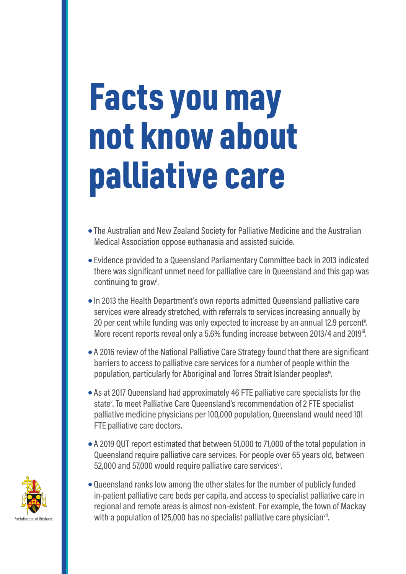## Facts you may not know about palliative care

- The Australian and New Zealand Society for Palliative Medicine and the Australian Medical Association oppose euthanasia and assisted suicide.
- Evidence provided to a Queensland Parliamentary Committee back in 2013 indicated there was significant unmet need for palliative care in Queensland and this gap was continuing to grow<sup>i</sup>.
- In 2013 the Health Department's own reports admitted Queensland palliative care services were already stretched, with referrals to services increasing annually by 20 per cent while funding was only expected to increase by an annual 12.9 percent<sup>ii</sup>. More recent reports reveal only a 5.6% funding increase between 2013/4 and 2019in.
- A 2016 review of the National Palliative Care Strategy found that there are significant barriers to access to palliative care services for a number of people within the population, particularly for Aboriginal and Torres Strait Islander peoples<sup>iv</sup>.
- As at 2017 Queensland had approximately 46 FTE palliative care specialists for the state<sup>v</sup>. To meet Palliative Care Queensland's recommendation of 2 FTE specialist palliative medicine physicians per 100,000 population, Queensland would need 101 FTE palliative care doctors.
- A 2019 QUT report estimated that between 51,000 to 71,000 of the total population in Queensland require palliative care services. For people over 65 years old, between 52,000 and 57,000 would require palliative care services $v$ .
- Queensland ranks low among the other states for the number of publicly funded in-patient palliative care beds per capita, and access to specialist palliative care in regional and remote areas is almost non-existent. For example, the town of Mackay with a population of 125,000 has no specialist palliative care physician<sup>vii</sup>.